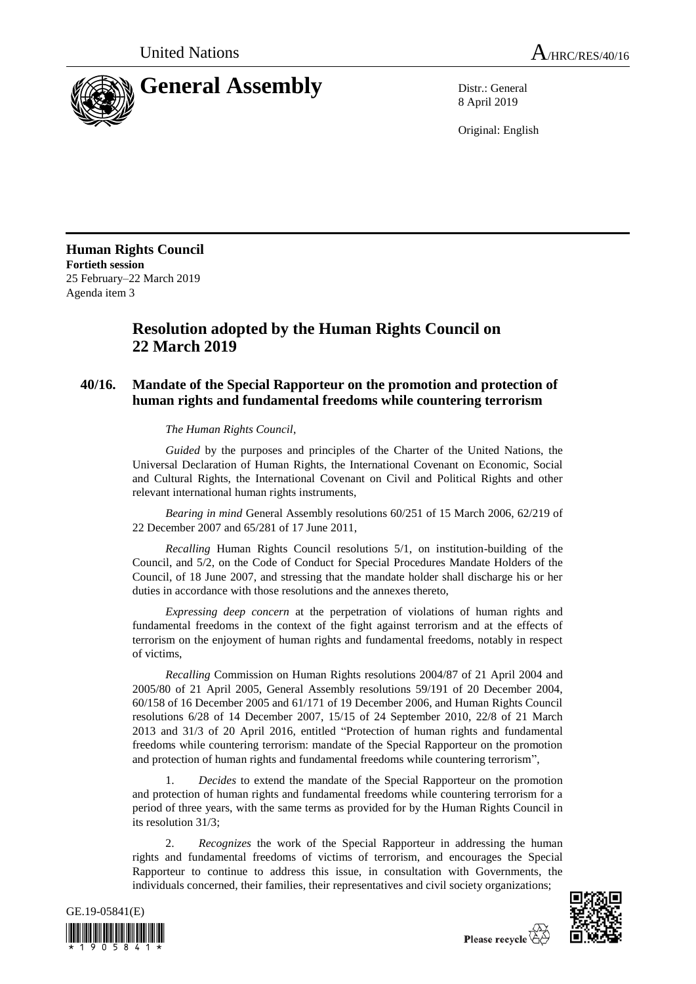

8 April 2019

Original: English

**Human Rights Council Fortieth session** 25 February–22 March 2019 Agenda item 3

## **Resolution adopted by the Human Rights Council on 22 March 2019**

## **40/16. Mandate of the Special Rapporteur on the promotion and protection of human rights and fundamental freedoms while countering terrorism**

*The Human Rights Council*,

*Guided* by the purposes and principles of the Charter of the United Nations, the Universal Declaration of Human Rights, the International Covenant on Economic, Social and Cultural Rights, the International Covenant on Civil and Political Rights and other relevant international human rights instruments,

*Bearing in mind* General Assembly resolutions 60/251 of 15 March 2006, 62/219 of 22 December 2007 and 65/281 of 17 June 2011,

*Recalling* Human Rights Council resolutions 5/1, on institution-building of the Council, and 5/2, on the Code of Conduct for Special Procedures Mandate Holders of the Council, of 18 June 2007, and stressing that the mandate holder shall discharge his or her duties in accordance with those resolutions and the annexes thereto,

*Expressing deep concern* at the perpetration of violations of human rights and fundamental freedoms in the context of the fight against terrorism and at the effects of terrorism on the enjoyment of human rights and fundamental freedoms, notably in respect of victims,

*Recalling* Commission on Human Rights resolutions 2004/87 of 21 April 2004 and 2005/80 of 21 April 2005, General Assembly resolutions 59/191 of 20 December 2004, 60/158 of 16 December 2005 and 61/171 of 19 December 2006, and Human Rights Council resolutions 6/28 of 14 December 2007, 15/15 of 24 September 2010, 22/8 of 21 March 2013 and 31/3 of 20 April 2016, entitled "Protection of human rights and fundamental freedoms while countering terrorism: mandate of the Special Rapporteur on the promotion and protection of human rights and fundamental freedoms while countering terrorism",

1. *Decides* to extend the mandate of the Special Rapporteur on the promotion and protection of human rights and fundamental freedoms while countering terrorism for a period of three years, with the same terms as provided for by the Human Rights Council in its resolution 31/3;

2. *Recognizes* the work of the Special Rapporteur in addressing the human rights and fundamental freedoms of victims of terrorism, and encourages the Special Rapporteur to continue to address this issue, in consultation with Governments, the individuals concerned, their families, their representatives and civil society organizations;